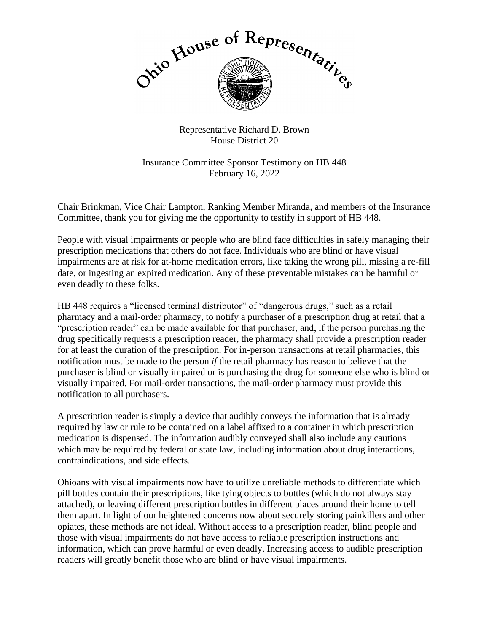

Representative Richard D. Brown House District 20

Insurance Committee Sponsor Testimony on HB 448 February 16, 2022

Chair Brinkman, Vice Chair Lampton, Ranking Member Miranda, and members of the Insurance Committee, thank you for giving me the opportunity to testify in support of HB 448.

People with visual impairments or people who are blind face difficulties in safely managing their prescription medications that others do not face. Individuals who are blind or have visual impairments are at risk for at-home medication errors, like taking the wrong pill, missing a re-fill date, or ingesting an expired medication. Any of these preventable mistakes can be harmful or even deadly to these folks.

HB 448 requires a "licensed terminal distributor" of "dangerous drugs," such as a retail pharmacy and a mail-order pharmacy, to notify a purchaser of a prescription drug at retail that a "prescription reader" can be made available for that purchaser, and, if the person purchasing the drug specifically requests a prescription reader, the pharmacy shall provide a prescription reader for at least the duration of the prescription. For in-person transactions at retail pharmacies, this notification must be made to the person *if* the retail pharmacy has reason to believe that the purchaser is blind or visually impaired or is purchasing the drug for someone else who is blind or visually impaired. For mail-order transactions, the mail-order pharmacy must provide this notification to all purchasers.

A prescription reader is simply a device that audibly conveys the information that is already required by law or rule to be contained on a label affixed to a container in which prescription medication is dispensed. The information audibly conveyed shall also include any cautions which may be required by federal or state law, including information about drug interactions, contraindications, and side effects.

Ohioans with visual impairments now have to utilize unreliable methods to differentiate which pill bottles contain their prescriptions, like tying objects to bottles (which do not always stay attached), or leaving different prescription bottles in different places around their home to tell them apart. In light of our heightened concerns now about securely storing painkillers and other opiates, these methods are not ideal. Without access to a prescription reader, blind people and those with visual impairments do not have access to reliable prescription instructions and information, which can prove harmful or even deadly. Increasing access to audible prescription readers will greatly benefit those who are blind or have visual impairments.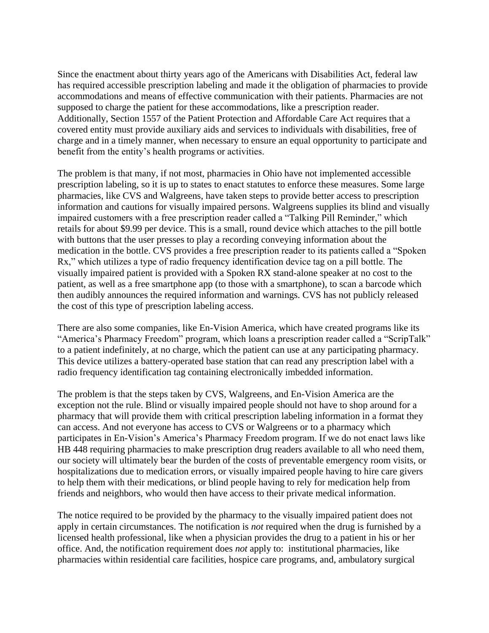Since the enactment about thirty years ago of the Americans with Disabilities Act, federal law has required accessible prescription labeling and made it the obligation of pharmacies to provide accommodations and means of effective communication with their patients. Pharmacies are not supposed to charge the patient for these accommodations, like a prescription reader. Additionally, Section 1557 of the Patient Protection and Affordable Care Act requires that a covered entity must provide auxiliary aids and services to individuals with disabilities, free of charge and in a timely manner, when necessary to ensure an equal opportunity to participate and benefit from the entity's health programs or activities.

The problem is that many, if not most, pharmacies in Ohio have not implemented accessible prescription labeling, so it is up to states to enact statutes to enforce these measures. Some large pharmacies, like CVS and Walgreens, have taken steps to provide better access to prescription information and cautions for visually impaired persons. Walgreens supplies its blind and visually impaired customers with a free prescription reader called a "Talking Pill Reminder," which retails for about \$9.99 per device. This is a small, round device which attaches to the pill bottle with buttons that the user presses to play a recording conveying information about the medication in the bottle. CVS provides a free prescription reader to its patients called a "Spoken Rx," which utilizes a type of radio frequency identification device tag on a pill bottle. The visually impaired patient is provided with a Spoken RX stand-alone speaker at no cost to the patient, as well as a free smartphone app (to those with a smartphone), to scan a barcode which then audibly announces the required information and warnings. CVS has not publicly released the cost of this type of prescription labeling access.

There are also some companies, like En-Vision America, which have created programs like its "America's Pharmacy Freedom" program, which loans a prescription reader called a "ScripTalk" to a patient indefinitely, at no charge, which the patient can use at any participating pharmacy. This device utilizes a battery-operated base station that can read any prescription label with a radio frequency identification tag containing electronically imbedded information.

The problem is that the steps taken by CVS, Walgreens, and En-Vision America are the exception not the rule. Blind or visually impaired people should not have to shop around for a pharmacy that will provide them with critical prescription labeling information in a format they can access. And not everyone has access to CVS or Walgreens or to a pharmacy which participates in En-Vision's America's Pharmacy Freedom program. If we do not enact laws like HB 448 requiring pharmacies to make prescription drug readers available to all who need them, our society will ultimately bear the burden of the costs of preventable emergency room visits, or hospitalizations due to medication errors, or visually impaired people having to hire care givers to help them with their medications, or blind people having to rely for medication help from friends and neighbors, who would then have access to their private medical information.

The notice required to be provided by the pharmacy to the visually impaired patient does not apply in certain circumstances. The notification is *not* required when the drug is furnished by a licensed health professional, like when a physician provides the drug to a patient in his or her office. And, the notification requirement does *not* apply to: institutional pharmacies, like pharmacies within residential care facilities, hospice care programs, and, ambulatory surgical